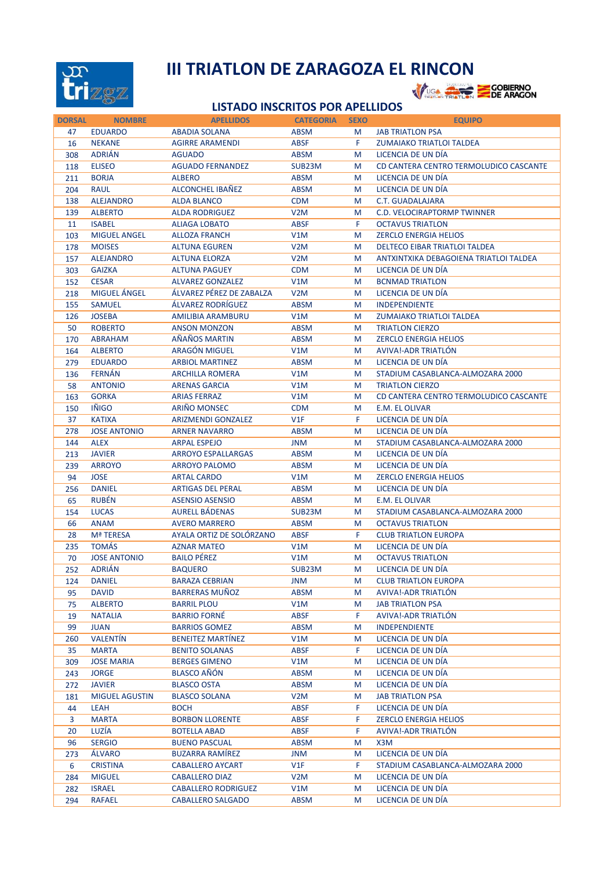

## **III TRIATLON DE ZARAGOZA EL RINCON<br>Ver et al de la partie de la partie de la partie de la partie de la partie de la partie de la partie de la part**

## **LISTADO INSCRITOS POR APELLIDOS**

| <b>DORSAL</b> | <b>NOMBRE</b>         | <b>APELLIDOS</b>           | <b>CATEGORIA</b> | <b>SEXO</b> | <b>EQUIPO</b>                          |
|---------------|-----------------------|----------------------------|------------------|-------------|----------------------------------------|
| 47            | <b>EDUARDO</b>        | <b>ABADIA SOLANA</b>       | <b>ABSM</b>      | M           | <b>JAB TRIATLON PSA</b>                |
| 16            | <b>NEKANE</b>         | <b>AGIRRE ARAMENDI</b>     | <b>ABSF</b>      | F           | <b>ZUMAIAKO TRIATLOI TALDEA</b>        |
| 308           | <b>ADRIÁN</b>         | <b>AGUADO</b>              | <b>ABSM</b>      | M           | LICENCIA DE UN DÍA                     |
| 118           | <b>ELISEO</b>         | <b>AGUADO FERNANDEZ</b>    | SUB23M           | M           | CD CANTERA CENTRO TERMOLUDICO CASCANTE |
| 211           | <b>BORJA</b>          | <b>ALBERO</b>              | <b>ABSM</b>      | M           | LICENCIA DE UN DÍA                     |
| 204           | <b>RAUL</b>           | <b>ALCONCHEL IBAÑEZ</b>    | <b>ABSM</b>      | M           | LICENCIA DE UN DÍA                     |
| 138           | <b>ALEJANDRO</b>      | <b>ALDA BLANCO</b>         | <b>CDM</b>       | M           | <b>C.T. GUADALAJARA</b>                |
| 139           | <b>ALBERTO</b>        | <b>ALDA RODRIGUEZ</b>      | V2M              | M           | <b>C.D. VELOCIRAPTORMP TWINNER</b>     |
| 11            | <b>ISABEL</b>         | <b>ALIAGA LOBATO</b>       | <b>ABSF</b>      | F           | <b>OCTAVUS TRIATLON</b>                |
| 103           | <b>MIGUEL ANGEL</b>   | <b>ALLOZA FRANCH</b>       | V1M              | M           | <b>ZERCLO ENERGIA HELIOS</b>           |
| 178           | <b>MOISES</b>         | <b>ALTUNA EGUREN</b>       | V2M              | M           | DELTECO EIBAR TRIATLOI TALDEA          |
| 157           | <b>ALEJANDRO</b>      | <b>ALTUNA ELORZA</b>       | V2M              | M           | ANTXINTXIKA DEBAGOIENA TRIATLOI TALDEA |
|               | <b>GAIZKA</b>         | <b>ALTUNA PAGUEY</b>       | <b>CDM</b>       | M           | LICENCIA DE UN DÍA                     |
| 303           | <b>CESAR</b>          | <b>ALVAREZ GONZALEZ</b>    | V1M              |             |                                        |
| 152           | <b>MIGUEL ÁNGEL</b>   | ÁLVAREZ PÉREZ DE ZABALZA   | V2M              | M           | <b>BCNMAD TRIATLON</b>                 |
| 218           |                       |                            |                  | M           | LICENCIA DE UN DÍA                     |
| 155           | <b>SAMUEL</b>         | ÁLVAREZ RODRÍGUEZ          | <b>ABSM</b>      | M           | <b>INDEPENDIENTE</b>                   |
| 126           | <b>JOSEBA</b>         | AMILIBIA ARAMBURU          | V1M              | M           | ZUMAIAKO TRIATLOI TALDEA               |
| 50            | <b>ROBERTO</b>        | <b>ANSON MONZON</b>        | <b>ABSM</b>      | M           | <b>TRIATLON CIERZO</b>                 |
| 170           | <b>ABRAHAM</b>        | AÑAÑOS MARTIN              | <b>ABSM</b>      | M           | <b>ZERCLO ENERGIA HELIOS</b>           |
| 164           | <b>ALBERTO</b>        | ARAGÓN MIGUEL              | V1M              | M           | AVIVA!-ADR TRIATLON                    |
| 279           | <b>EDUARDO</b>        | <b>ARBIOL MARTINEZ</b>     | <b>ABSM</b>      | M           | LICENCIA DE UN DÍA                     |
| 136           | <b>FERNÁN</b>         | <b>ARCHILLA ROMERA</b>     | V1M              | M           | STADIUM CASABLANCA-ALMOZARA 2000       |
| 58            | <b>ANTONIO</b>        | <b>ARENAS GARCIA</b>       | V1M              | M           | <b>TRIATLON CIERZO</b>                 |
| 163           | <b>GORKA</b>          | <b>ARIAS FERRAZ</b>        | V1M              | M           | CD CANTERA CENTRO TERMOLUDICO CASCANTE |
| 150           | <b>IÑIGO</b>          | ARIÑO MONSEC               | <b>CDM</b>       | M           | E.M. EL OLIVAR                         |
| 37            | <b>KATIXA</b>         | <b>ARIZMENDI GONZALEZ</b>  | V1F              | F           | LICENCIA DE UN DÍA                     |
| 278           | <b>JOSE ANTONIO</b>   | <b>ARNER NAVARRO</b>       | <b>ABSM</b>      | M           | LICENCIA DE UN DÍA                     |
| 144           | <b>ALEX</b>           | <b>ARPAL ESPEJO</b>        | <b>JNM</b>       | M           | STADIUM CASABLANCA-ALMOZARA 2000       |
| 213           | <b>JAVIER</b>         | <b>ARROYO ESPALLARGAS</b>  | <b>ABSM</b>      | M           | LICENCIA DE UN DÍA                     |
| 239           | <b>ARROYO</b>         | <b>ARROYO PALOMO</b>       | <b>ABSM</b>      | M           | LICENCIA DE UN DÍA                     |
| 94            | <b>JOSE</b>           | <b>ARTAL CARDO</b>         | V1M              | M           | <b>ZERCLO ENERGIA HELIOS</b>           |
| 256           | <b>DANIEL</b>         | <b>ARTIGAS DEL PERAL</b>   | <b>ABSM</b>      | M           | LICENCIA DE UN DÍA                     |
| 65            | <b>RUBÉN</b>          | <b>ASENSIO ASENSIO</b>     | <b>ABSM</b>      | M           | E.M. EL OLIVAR                         |
| 154           | <b>LUCAS</b>          | <b>AURELL BADENAS</b>      | SUB23M           | M           | STADIUM CASABLANCA-ALMOZARA 2000       |
| 66            | <b>ANAM</b>           | <b>AVERO MARRERO</b>       | <b>ABSM</b>      | M           | <b>OCTAVUS TRIATLON</b>                |
| 28            | Mª TERESA             | AYALA ORTIZ DE SOLÓRZANO   | <b>ABSF</b>      | F.          | <b>CLUB TRIATLON EUROPA</b>            |
|               | <b>TOMÁS</b>          | <b>AZNAR MATEO</b>         | V1M              | M           | LICENCIA DE UN DÍA                     |
| 235           |                       | <b>BAILO PÉREZ</b>         |                  |             |                                        |
| 70            | <b>JOSE ANTONIO</b>   |                            | V1M              | M           | <b>OCTAVUS TRIATLON</b>                |
| 252           | <b>ADRIÁN</b>         | <b>BAQUERO</b>             | SUB23M           | M           | LICENCIA DE UN DÍA                     |
| 124           | <b>DANIEL</b>         | <b>BARAZA CEBRIAN</b>      | <b>JNM</b>       | M           | <b>CLUB TRIATLON EUROPA</b>            |
| 95            | DAVID                 | <b>BARRERAS MUÑOZ</b>      | <b>ABSM</b>      | M           | AVIVA!-ADR TRIATLÓN                    |
| 75            | <b>ALBERTO</b>        | <b>BARRIL PLOU</b>         | V1M              | M           | <b>JAB TRIATLON PSA</b>                |
| 19            | <b>NATALIA</b>        | <b>BARRIO FORNÉ</b>        | <b>ABSF</b>      | F.          | AVIVA!-ADR TRIATLON                    |
| 99            | <b>JUAN</b>           | <b>BARRIOS GOMEZ</b>       | <b>ABSM</b>      | M           | <b>INDEPENDIENTE</b>                   |
| 260           | VALENTÍN              | BENEITEZ MARTÍNEZ          | V1M              | M           | LICENCIA DE UN DÍA                     |
| 35            | <b>MARTA</b>          | <b>BENITO SOLANAS</b>      | <b>ABSF</b>      | F.          | LICENCIA DE UN DÍA                     |
| 309           | <b>JOSE MARIA</b>     | <b>BERGES GIMENO</b>       | V1M              | M           | LICENCIA DE UN DÍA                     |
| 243           | <b>JORGE</b>          | <b>BLASCO AÑÓN</b>         | <b>ABSM</b>      | M           | LICENCIA DE UN DÍA                     |
| 272           | <b>JAVIER</b>         | <b>BLASCO OSTA</b>         | <b>ABSM</b>      | M           | LICENCIA DE UN DÍA                     |
| 181           | <b>MIGUEL AGUSTIN</b> | <b>BLASCO SOLANA</b>       | V <sub>2</sub> M | M           | <b>JAB TRIATLON PSA</b>                |
| 44            | LEAH                  | <b>BOCH</b>                | <b>ABSF</b>      | F.          | LICENCIA DE UN DÍA                     |
| 3             | <b>MARTA</b>          | <b>BORBON LLORENTE</b>     | <b>ABSF</b>      | F.          | <b>ZERCLO ENERGIA HELIOS</b>           |
| 20            | LUZÍA                 | <b>BOTELLA ABAD</b>        | <b>ABSF</b>      | F.          | AVIVA!-ADR TRIATLON                    |
| 96            | <b>SERGIO</b>         | <b>BUENO PASCUAL</b>       | <b>ABSM</b>      | M           | X3M                                    |
| 273           | <b>ALVARO</b>         | <b>BUZARRA RAMÍREZ</b>     | JNM              | M           | LICENCIA DE UN DÍA                     |
| 6             | <b>CRISTINA</b>       | <b>CABALLERO AYCART</b>    | V1F              | F.          | STADIUM CASABLANCA-ALMOZARA 2000       |
| 284           | <b>MIGUEL</b>         | <b>CABALLERO DIAZ</b>      | V <sub>2</sub> M | M           | LICENCIA DE UN DÍA                     |
| 282           | <b>ISRAEL</b>         | <b>CABALLERO RODRIGUEZ</b> | V1M              | M           | LICENCIA DE UN DÍA                     |
| 294           | <b>RAFAEL</b>         | <b>CABALLERO SALGADO</b>   | ABSM             | M           | LICENCIA DE UN DÍA                     |
|               |                       |                            |                  |             |                                        |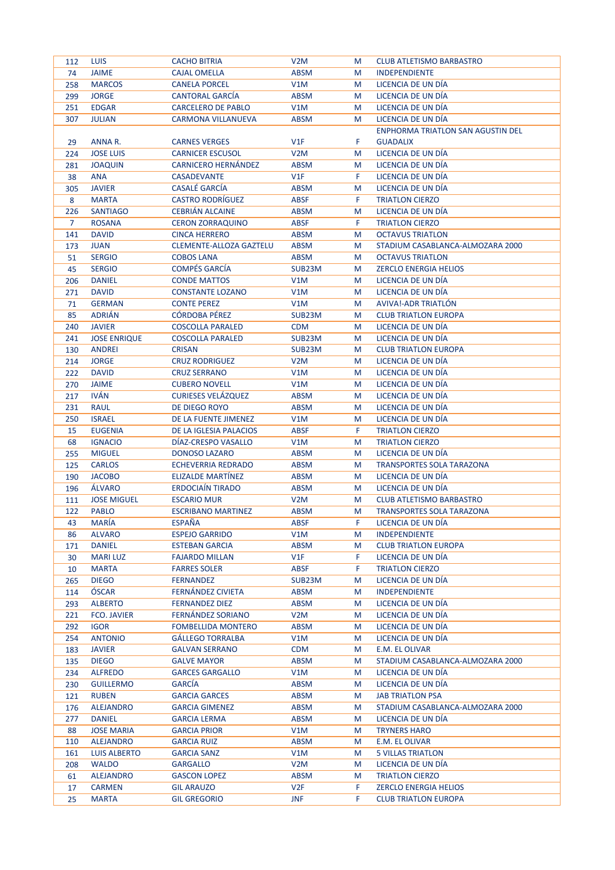| 112            | <b>LUIS</b>         | <b>CACHO BITRIA</b>            | V <sub>2</sub> M | M  | <b>CLUB ATLETISMO BARBASTRO</b>          |
|----------------|---------------------|--------------------------------|------------------|----|------------------------------------------|
| 74             | <b>JAIME</b>        | <b>CAJAL OMELLA</b>            | <b>ABSM</b>      | M  | <b>INDEPENDIENTE</b>                     |
| 258            | <b>MARCOS</b>       | <b>CANELA PORCEL</b>           | V1M              | M  | LICENCIA DE UN DÍA                       |
| 299            | <b>JORGE</b>        | <b>CANTORAL GARCIA</b>         | <b>ABSM</b>      | M  | LICENCIA DE UN DÍA                       |
| 251            | <b>EDGAR</b>        | <b>CARCELERO DE PABLO</b>      | V1M              | M  | LICENCIA DE UN DÍA                       |
| 307            | <b>JULIAN</b>       | <b>CARMONA VILLANUEVA</b>      | <b>ABSM</b>      | M  | LICENCIA DE UN DÍA                       |
|                |                     |                                |                  |    | <b>ENPHORMA TRIATLON SAN AGUSTIN DEL</b> |
| 29             | ANNA R.             | <b>CARNES VERGES</b>           | V1F              | F. | <b>GUADALIX</b>                          |
| 224            | <b>JOSE LUIS</b>    | <b>CARNICER ESCUSOL</b>        | V <sub>2</sub> M | M  | LICENCIA DE UN DÍA                       |
| 281            | <b>JOAQUIN</b>      | <b>CARNICERO HERNÁNDEZ</b>     | <b>ABSM</b>      | M  | LICENCIA DE UN DÍA                       |
| 38             | <b>ANA</b>          | <b>CASADEVANTE</b>             | V1F              | F  | LICENCIA DE UN DÍA                       |
|                | <b>JAVIER</b>       | <b>CASALÉ GARCÍA</b>           | <b>ABSM</b>      | M  | LICENCIA DE UN DÍA                       |
| 305            |                     |                                |                  |    |                                          |
| 8              | <b>MARTA</b>        | <b>CASTRO RODRÍGUEZ</b>        | <b>ABSF</b>      | F. | <b>TRIATLON CIERZO</b>                   |
| 226            | <b>SANTIAGO</b>     | <b>CEBRIAN ALCAINE</b>         | <b>ABSM</b>      | M  | LICENCIA DE UN DÍA                       |
| $\overline{7}$ | <b>ROSANA</b>       | <b>CERON ZORRAQUINO</b>        | <b>ABSF</b>      | F. | <b>TRIATLON CIERZO</b>                   |
| 141            | <b>DAVID</b>        | <b>CINCA HERRERO</b>           | <b>ABSM</b>      | M  | <b>OCTAVUS TRIATLON</b>                  |
| 173            | <b>JUAN</b>         | <b>CLEMENTE-ALLOZA GAZTELU</b> | <b>ABSM</b>      | M  | STADIUM CASABLANCA-ALMOZARA 2000         |
| 51             | <b>SERGIO</b>       | <b>COBOS LANA</b>              | ABSM             | M  | <b>OCTAVUS TRIATLON</b>                  |
| 45             | <b>SERGIO</b>       | <b>COMPÉS GARCÍA</b>           | SUB23M           | M  | <b>ZERCLO ENERGIA HELIOS</b>             |
| 206            | <b>DANIEL</b>       | <b>CONDE MATTOS</b>            | V1M              | M  | LICENCIA DE UN DÍA                       |
| 271            | <b>DAVID</b>        | <b>CONSTANTE LOZANO</b>        | V1M              | M  | LICENCIA DE UN DÍA                       |
| 71             | <b>GERMAN</b>       | <b>CONTE PEREZ</b>             | V1M              | M  | AVIVA!-ADR TRIATLON                      |
| 85             | <b>ADRIÁN</b>       | <b>CÓRDOBA PÉREZ</b>           | SUB23M           | M  | <b>CLUB TRIATLON EUROPA</b>              |
| 240            | <b>JAVIER</b>       | <b>COSCOLLA PARALED</b>        | <b>CDM</b>       | M  | LICENCIA DE UN DÍA                       |
| 241            | <b>JOSE ENRIQUE</b> | <b>COSCOLLA PARALED</b>        | SUB23M           | M  | LICENCIA DE UN DÍA                       |
| 130            | <b>ANDREI</b>       | <b>CRISAN</b>                  | SUB23M           | M  | <b>CLUB TRIATLON EUROPA</b>              |
| 214            | <b>JORGE</b>        | <b>CRUZ RODRIGUEZ</b>          | V2M              | M  | LICENCIA DE UN DÍA                       |
| 222            | <b>DAVID</b>        | <b>CRUZ SERRANO</b>            | V1M              | M  | LICENCIA DE UN DÍA                       |
| 270            | <b>JAIME</b>        | <b>CUBERO NOVELL</b>           | V1M              | M  | LICENCIA DE UN DÍA                       |
| 217            | <b>IVÁN</b>         | <b>CURIESES VELAZQUEZ</b>      | <b>ABSM</b>      | M  | LICENCIA DE UN DÍA                       |
| 231            | <b>RAUL</b>         | DE DIEGO ROYO                  | <b>ABSM</b>      | M  | LICENCIA DE UN DÍA                       |
| 250            | <b>ISRAEL</b>       | DE LA FUENTE JIMENEZ           | V1M              | M  | LICENCIA DE UN DÍA                       |
|                | <b>EUGENIA</b>      | DE LA IGLESIA PALACIOS         | <b>ABSF</b>      | F. | <b>TRIATLON CIERZO</b>                   |
| 15             |                     |                                |                  |    |                                          |
| 68             | <b>IGNACIO</b>      | DIAZ-CRESPO VASALLO            | V1M              | M  | <b>TRIATLON CIERZO</b>                   |
| 255            | <b>MIGUEL</b>       | <b>DONOSO LAZARO</b>           | <b>ABSM</b>      | M  | LICENCIA DE UN DÍA                       |
| 125            | <b>CARLOS</b>       | <b>ECHEVERRIA REDRADO</b>      | <b>ABSM</b>      | M  | <b>TRANSPORTES SOLA TARAZONA</b>         |
| 190            | <b>JACOBO</b>       | <b>ELIZALDE MARTINEZ</b>       | <b>ABSM</b>      | M  | LICENCIA DE UN DÍA                       |
| 196            | <b>ALVARO</b>       | <b>ERDOCIAÍN TIRADO</b>        | <b>ABSM</b>      | M  | LICENCIA DE UN DÍA                       |
| 111            | <b>JOSE MIGUEL</b>  | <b>ESCARIO MUR</b>             | V <sub>2</sub> M | M  | <b>CLUB ATLETISMO BARBASTRO</b>          |
| 122            | <b>PABLO</b>        | <b>ESCRIBANO MARTINEZ</b>      | <b>ABSM</b>      | M  | <b>TRANSPORTES SOLA TARAZONA</b>         |
| 43             | <b>MARÍA</b>        | <b>ESPAÑA</b>                  | <b>ABSF</b>      | F. | LICENCIA DE UN DÍA                       |
| 86             | <b>ALVARO</b>       | <b>ESPEJO GARRIDO</b>          | V1M              | M  | <b>INDEPENDIENTE</b>                     |
| 171            | <b>DANIEL</b>       | <b>ESTEBAN GARCIA</b>          | ABSM             | М  | <b>CLUB TRIATLON EUROPA</b>              |
| 30             | <b>MARILUZ</b>      | <b>FAJARDO MILLAN</b>          | V1F              | F. | LICENCIA DE UN DÍA                       |
| 10             | <b>MARTA</b>        | <b>FARRES SOLER</b>            | <b>ABSF</b>      | F. | <b>TRIATLON CIERZO</b>                   |
| 265            | <b>DIEGO</b>        | FERNANDEZ                      | SUB23M           | M  | LICENCIA DE UN DÍA                       |
| 114            | ÓSCAR               | FERNÁNDEZ CIVIETA              | <b>ABSM</b>      | M  | <b>INDEPENDIENTE</b>                     |
| 293            | <b>ALBERTO</b>      | <b>FERNANDEZ DIEZ</b>          | <b>ABSM</b>      | M  | LICENCIA DE UN DÍA                       |
| 221            | <b>FCO. JAVIER</b>  | FERNÁNDEZ SORIANO              | V2M              | М  | LICENCIA DE UN DÍA                       |
| 292            | <b>IGOR</b>         | <b>FOMBELLIDA MONTERO</b>      | <b>ABSM</b>      | М  | LICENCIA DE UN DÍA                       |
| 254            | <b>ANTONIO</b>      | <b>GÁLLEGO TORRALBA</b>        | V1M              | M  | LICENCIA DE UN DÍA                       |
| 183            | <b>JAVIER</b>       | <b>GALVAN SERRANO</b>          | <b>CDM</b>       | M  | E.M. EL OLIVAR                           |
| 135            | <b>DIEGO</b>        | <b>GALVE MAYOR</b>             | ABSM             | M  | STADIUM CASABLANCA-ALMOZARA 2000         |
| 234            | <b>ALFREDO</b>      | <b>GARCES GARGALLO</b>         | V1M              | M  | LICENCIA DE UN DÍA                       |
| 230            | <b>GUILLERMO</b>    | <b>GARCÍA</b>                  | <b>ABSM</b>      | М  | LICENCIA DE UN DÍA                       |
|                |                     |                                |                  |    |                                          |
| 121            | <b>RUBEN</b>        | <b>GARCIA GARCES</b>           | ABSM             | М  | <b>JAB TRIATLON PSA</b>                  |
| 176            | <b>ALEJANDRO</b>    | <b>GARCIA GIMENEZ</b>          | <b>ABSM</b>      | М  | STADIUM CASABLANCA-ALMOZARA 2000         |
| 277            | <b>DANIEL</b>       | <b>GARCIA LERMA</b>            | ABSM             | М  | LICENCIA DE UN DÍA                       |
| 88             | <b>JOSE MARIA</b>   | <b>GARCIA PRIOR</b>            | V1M              | M  | <b>TRYNERS HARO</b>                      |
| 110            | ALEJANDRO           | <b>GARCIA RUIZ</b>             | <b>ABSM</b>      | M  | E.M. EL OLIVAR                           |
| 161            | LUIS ALBERTO        | <b>GARCIA SANZ</b>             | V1M              | M  | <b>5 VILLAS TRIATLON</b>                 |
| 208            | <b>WALDO</b>        | <b>GARGALLO</b>                | V <sub>2</sub> M | M  | LICENCIA DE UN DÍA                       |
| 61             | <b>ALEJANDRO</b>    | <b>GASCON LOPEZ</b>            | ABSM             | М  | <b>TRIATLON CIERZO</b>                   |
| 17             | <b>CARMEN</b>       | <b>GIL ARAUZO</b>              | V <sub>2F</sub>  | F. | <b>ZERCLO ENERGIA HELIOS</b>             |
| 25             | <b>MARTA</b>        | <b>GIL GREGORIO</b>            | <b>JNF</b>       | F. | <b>CLUB TRIATLON EUROPA</b>              |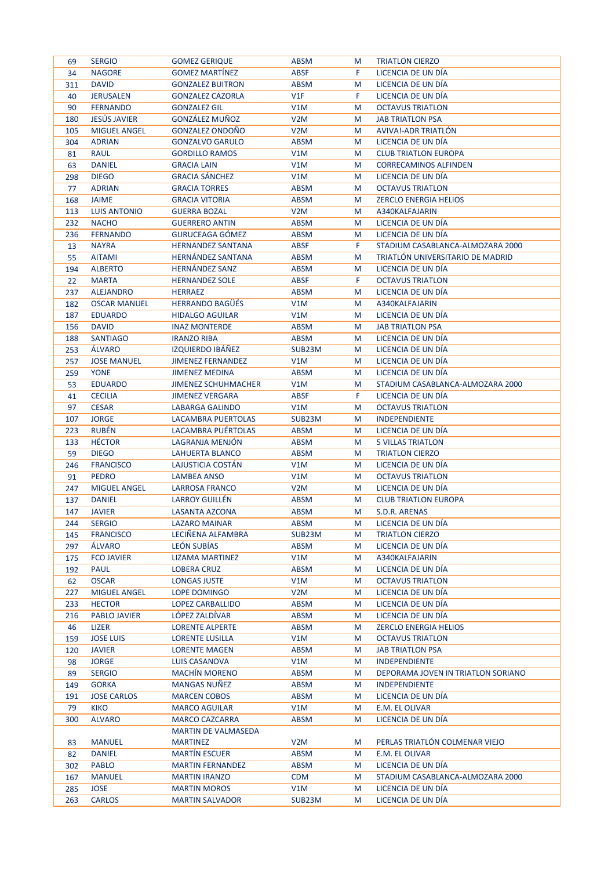| 69  | <b>SERGIO</b>       | <b>GOMEZ GERIQUE</b>       | <b>ABSM</b>      | M | <b>TRIATLON CIERZO</b>             |
|-----|---------------------|----------------------------|------------------|---|------------------------------------|
| 34  | <b>NAGORE</b>       | <b>GOMEZ MARTINEZ</b>      | ABSF             | F | LICENCIA DE UN DÍA                 |
| 311 | <b>DAVID</b>        | <b>GONZALEZ BUITRON</b>    | <b>ABSM</b>      | M | LICENCIA DE UN DÍA                 |
| 40  | <b>JERUSALEN</b>    | <b>GONZALEZ CAZORLA</b>    | V1F              | F | LICENCIA DE UN DÍA                 |
| 90  | <b>FERNANDO</b>     | <b>GONZALEZ GIL</b>        | V1M              | M | <b>OCTAVUS TRIATLON</b>            |
| 180 | <b>JESUS JAVIER</b> | GONZÁLEZ MUÑOZ             | V2M              | M | <b>JAB TRIATLON PSA</b>            |
| 105 | <b>MIGUEL ANGEL</b> | <b>GONZALEZ ONDOÑO</b>     | V2M              | M | AVIVA!-ADR TRIATLON                |
| 304 | <b>ADRIAN</b>       | <b>GONZALVO GARULO</b>     | <b>ABSM</b>      | M | LICENCIA DE UN DÍA                 |
| 81  | <b>RAUL</b>         | <b>GORDILLO RAMOS</b>      | V1M              | M | <b>CLUB TRIATLON EUROPA</b>        |
| 63  | <b>DANIEL</b>       | <b>GRACIA LAIN</b>         | V1M              | M | <b>CORRECAMINOS ALFINDEN</b>       |
| 298 | <b>DIEGO</b>        | <b>GRACIA SÁNCHEZ</b>      | V1M              | M | LICENCIA DE UN DÍA                 |
| 77  | <b>ADRIAN</b>       | <b>GRACIA TORRES</b>       | <b>ABSM</b>      | M | <b>OCTAVUS TRIATLON</b>            |
|     | <b>JAIME</b>        | <b>GRACIA VITORIA</b>      | <b>ABSM</b>      | M | <b>ZERCLO ENERGIA HELIOS</b>       |
| 168 |                     |                            |                  |   |                                    |
| 113 | <b>LUIS ANTONIO</b> | <b>GUERRA BOZAL</b>        | V2M              | M | A340KALFAJARIN                     |
| 232 | <b>NACHO</b>        | <b>GUERRERO ANTIN</b>      | <b>ABSM</b>      | M | LICENCIA DE UN DÍA                 |
| 236 | <b>FERNANDO</b>     | <b>GURUCEAGA GÓMEZ</b>     | <b>ABSM</b>      | M | LICENCIA DE UN DÍA                 |
| 13  | <b>NAYRA</b>        | <b>HERNANDEZ SANTANA</b>   | <b>ABSF</b>      | F | STADIUM CASABLANCA-ALMOZARA 2000   |
| 55  | <b>AITAMI</b>       | <b>HERNÁNDEZ SANTANA</b>   | <b>ABSM</b>      | M | TRIATLÓN UNIVERSITARIO DE MADRID   |
| 194 | <b>ALBERTO</b>      | <b>HERNANDEZ SANZ</b>      | <b>ABSM</b>      | M | LICENCIA DE UN DÍA                 |
| 22  | <b>MARTA</b>        | <b>HERNANDEZ SOLE</b>      | <b>ABSF</b>      | F | <b>OCTAVUS TRIATLON</b>            |
| 237 | <b>ALEJANDRO</b>    | <b>HERRAEZ</b>             | <b>ABSM</b>      | M | LICENCIA DE UN DÍA                 |
| 182 | <b>OSCAR MANUEL</b> | <b>HERRANDO BAGÜÉS</b>     | V1M              | M | A340KALFAJARIN                     |
| 187 | <b>EDUARDO</b>      | <b>HIDALGO AGUILAR</b>     | V1M              | M | LICENCIA DE UN DÍA                 |
| 156 | <b>DAVID</b>        | <b>INAZ MONTERDE</b>       | <b>ABSM</b>      | M | <b>JAB TRIATLON PSA</b>            |
| 188 | <b>SANTIAGO</b>     | <b>IRANZO RIBA</b>         | <b>ABSM</b>      | M | LICENCIA DE UN DÍA                 |
| 253 | <b>ALVARO</b>       | <b>IZQUIERDO IBÁÑEZ</b>    | SUB23M           | M | LICENCIA DE UN DÍA                 |
| 257 | <b>JOSE MANUEL</b>  | <b>JIMENEZ FERNANDEZ</b>   | V1M              | M | LICENCIA DE UN DÍA                 |
| 259 | <b>YONE</b>         | <b>JIMENEZ MEDINA</b>      | <b>ABSM</b>      | M | LICENCIA DE UN DÍA                 |
| 53  | <b>EDUARDO</b>      | <b>JIMENEZ SCHUHMACHER</b> | V1M              | M | STADIUM CASABLANCA-ALMOZARA 2000   |
| 41  | <b>CECILIA</b>      | <b>JIMENEZ VERGARA</b>     | <b>ABSF</b>      | F | LICENCIA DE UN DÍA                 |
| 97  | <b>CESAR</b>        | LABARGA GALINDO            | V1M              | M | <b>OCTAVUS TRIATLON</b>            |
| 107 | <b>JORGE</b>        | LACAMBRA PUERTOLAS         | SUB23M           | M | <b>INDEPENDIENTE</b>               |
| 223 | <b>RUBÉN</b>        | LACAMBRA PUERTOLAS         | <b>ABSM</b>      | M | LICENCIA DE UN DÍA                 |
| 133 | <b>HÉCTOR</b>       | LAGRANJA MENJÓN            | <b>ABSM</b>      | M | <b>5 VILLAS TRIATLON</b>           |
| 59  | <b>DIEGO</b>        | LAHUERTA BLANCO            | <b>ABSM</b>      | M | <b>TRIATLON CIERZO</b>             |
| 246 | <b>FRANCISCO</b>    | LAJUSTICIA COSTÁN          | V1M              | M | LICENCIA DE UN DÍA                 |
| 91  | <b>PEDRO</b>        | <b>LAMBEA ANSO</b>         | V1M              | M | <b>OCTAVUS TRIATLON</b>            |
| 247 | <b>MIGUEL ANGEL</b> | <b>LARROSA FRANCO</b>      | V <sub>2</sub> M | M | LICENCIA DE UN DÍA                 |
| 137 | <b>DANIEL</b>       | <b>LARROY GUILLEN</b>      | <b>ABSM</b>      | M | <b>CLUB TRIATLON EUROPA</b>        |
| 147 | <b>JAVIER</b>       | <b>LASANTA AZCONA</b>      | <b>ABSM</b>      | M | S.D.R. ARENAS                      |
| 244 | <b>SERGIO</b>       | LAZARO MAINAR              | ABSM             | M | LICENCIA DE UN DIA                 |
|     | <b>FRANCISCO</b>    | LECIÑENA ALFAMBRA          | SUB23M           |   | <b>TRIATLON CIERZO</b>             |
| 145 |                     |                            |                  | M |                                    |
| 297 | <b>ALVARO</b>       | LEÓN SUBÍAS                | <b>ABSM</b>      | M | LICENCIA DE UN DÍA                 |
| 175 | <b>FCO JAVIER</b>   | <b>LIZAMA MARTINEZ</b>     | V1M              | M | A340KALFAJARIN                     |
| 192 | <b>PAUL</b>         | <b>LOBERA CRUZ</b>         | <b>ABSM</b>      | M | LICENCIA DE UN DÍA                 |
| 62  | <b>OSCAR</b>        | LONGAS JUSTE               | V1M              | M | <b>OCTAVUS TRIATLON</b>            |
| 227 | <b>MIGUEL ANGEL</b> | LOPE DOMINGO               | V2M              | M | LICENCIA DE UN DÍA                 |
| 233 | <b>HECTOR</b>       | LOPEZ CARBALLIDO           | <b>ABSM</b>      | M | LICENCIA DE UN DÍA                 |
| 216 | <b>PABLO JAVIER</b> | LÓPEZ ZALDÍVAR             | <b>ABSM</b>      | M | LICENCIA DE UN DÍA                 |
| 46  | LIZER               | <b>LORENTE ALPERTE</b>     | <b>ABSM</b>      | M | <b>ZERCLO ENERGIA HELIOS</b>       |
| 159 | <b>JOSE LUIS</b>    | <b>LORENTE LUSILLA</b>     | V1M              | M | <b>OCTAVUS TRIATLON</b>            |
| 120 | <b>JAVIER</b>       | <b>LORENTE MAGEN</b>       | <b>ABSM</b>      | M | <b>JAB TRIATLON PSA</b>            |
| 98  | <b>JORGE</b>        | LUIS CASANOVA              | V1M              | M | <b>INDEPENDIENTE</b>               |
| 89  | <b>SERGIO</b>       | <b>MACHIN MORENO</b>       | <b>ABSM</b>      | M | DEPORAMA JOVEN IN TRIATLON SORIANO |
| 149 | <b>GORKA</b>        | <b>MANGAS NUNEZ</b>        | <b>ABSM</b>      | M | <b>INDEPENDIENTE</b>               |
| 191 | <b>JOSE CARLOS</b>  | <b>MARCEN COBOS</b>        | <b>ABSM</b>      | M | LICENCIA DE UN DÍA                 |
| 79  | <b>KIKO</b>         | <b>MARCO AGUILAR</b>       | V1M              | M | E.M. EL OLIVAR                     |
| 300 | <b>ALVARO</b>       | <b>MARCO CAZCARRA</b>      | <b>ABSM</b>      | M | LICENCIA DE UN DÍA                 |
|     |                     | MARTIN DE VALMASEDA        |                  |   |                                    |
| 83  | <b>MANUEL</b>       | <b>MARTINEZ</b>            | V2M              | M | PERLAS TRIATLÓN COLMENAR VIEJO     |
| 82  | <b>DANIEL</b>       | <b>MARTIN ESCUER</b>       | <b>ABSM</b>      | M | E.M. EL OLIVAR                     |
| 302 | <b>PABLO</b>        | <b>MARTIN FERNANDEZ</b>    | <b>ABSM</b>      | M | LICENCIA DE UN DÍA                 |
| 167 | <b>MANUEL</b>       | <b>MARTIN IRANZO</b>       | <b>CDM</b>       | M | STADIUM CASABLANCA-ALMOZARA 2000   |
| 285 | <b>JOSE</b>         | <b>MARTIN MOROS</b>        | V1M              | M | LICENCIA DE UN DÍA                 |
|     |                     |                            |                  |   |                                    |
| 263 | <b>CARLOS</b>       | <b>MARTIN SALVADOR</b>     | SUB23M           | M | LICENCIA DE UN DÍA                 |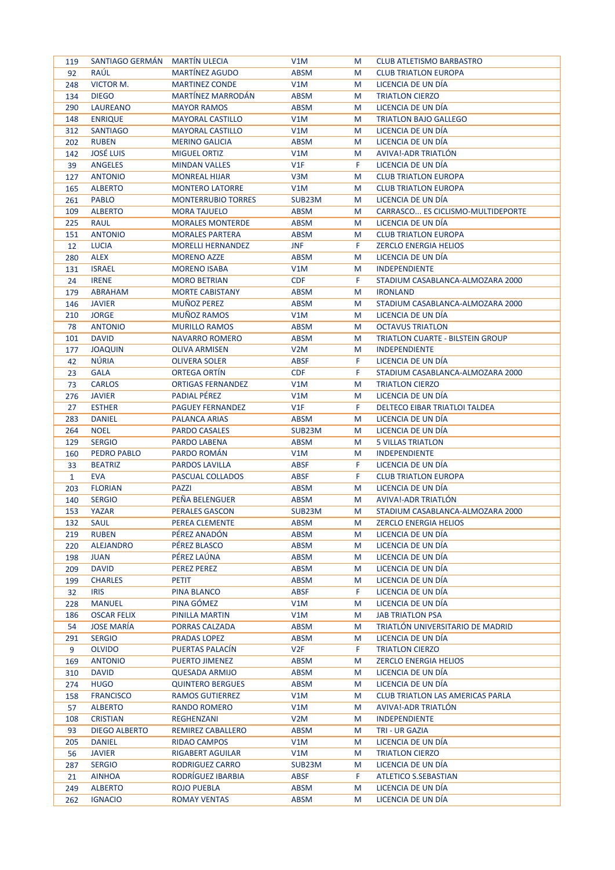| 119          | SANTIAGO GERMÁN MARTÍN ULECIA |                           | V1M              | M  | <b>CLUB ATLETISMO BARBASTRO</b>         |
|--------------|-------------------------------|---------------------------|------------------|----|-----------------------------------------|
| 92           | RAÚL                          | <b>MARTÍNEZ AGUDO</b>     | <b>ABSM</b>      | M  | <b>CLUB TRIATLON EUROPA</b>             |
| 248          | VICTOR M.                     | <b>MARTINEZ CONDE</b>     | V1M              | M  | LICENCIA DE UN DÍA                      |
| 134          | <b>DIEGO</b>                  | <b>MARTÍNEZ MARRODÁN</b>  | <b>ABSM</b>      | M  | <b>TRIATLON CIERZO</b>                  |
| 290          | <b>LAUREANO</b>               | <b>MAYOR RAMOS</b>        | ABSM             | M  | LICENCIA DE UN DÍA                      |
| 148          | <b>ENRIQUE</b>                | <b>MAYORAL CASTILLO</b>   | V1M              | M  | <b>TRIATLON BAJO GALLEGO</b>            |
|              |                               | <b>MAYORAL CASTILLO</b>   |                  |    |                                         |
| 312          | <b>SANTIAGO</b>               |                           | V1M              | M  | LICENCIA DE UN DÍA                      |
| 202          | <b>RUBEN</b>                  | <b>MERINO GALICIA</b>     | <b>ABSM</b>      | M  | LICENCIA DE UN DÍA                      |
| 142          | <b>JOSÉ LUIS</b>              | <b>MIGUEL ORTIZ</b>       | V1M              | M  | AVIVA!-ADR TRIATLON                     |
| 39           | <b>ANGELES</b>                | <b>MINDAN VALLES</b>      | V1F              | F  | LICENCIA DE UN DÍA                      |
| 127          | <b>ANTONIO</b>                | <b>MONREAL HIJAR</b>      | V3M              | M  | <b>CLUB TRIATLON EUROPA</b>             |
| 165          | <b>ALBERTO</b>                | <b>MONTERO LATORRE</b>    | V1M              | M  | <b>CLUB TRIATLON EUROPA</b>             |
| 261          | <b>PABLO</b>                  | <b>MONTERRUBIO TORRES</b> | SUB23M           | M  | LICENCIA DE UN DÍA                      |
| 109          | <b>ALBERTO</b>                | <b>MORA TAJUELO</b>       | <b>ABSM</b>      | M  | CARRASCO ES CICLISMO-MULTIDEPORTE       |
| 225          | <b>RAUL</b>                   | <b>MORALES MONTERDE</b>   | <b>ABSM</b>      | M  | LICENCIA DE UN DÍA                      |
| 151          | <b>ANTONIO</b>                | <b>MORALES PARTERA</b>    | <b>ABSM</b>      | M  | <b>CLUB TRIATLON EUROPA</b>             |
| 12           | <b>LUCIA</b>                  | <b>MORELLI HERNANDEZ</b>  | <b>JNF</b>       | F. | <b>ZERCLO ENERGIA HELIOS</b>            |
| 280          | <b>ALEX</b>                   | <b>MORENO AZZE</b>        | <b>ABSM</b>      | M  | LICENCIA DE UN DÍA                      |
| 131          | <b>ISRAEL</b>                 | <b>MORENO ISABA</b>       | V1M              | M  | <b>INDEPENDIENTE</b>                    |
| 24           | <b>IRENE</b>                  | <b>MORO BETRIAN</b>       | <b>CDF</b>       | F  | STADIUM CASABLANCA-ALMOZARA 2000        |
| 179          | <b>ABRAHAM</b>                | <b>MORTE CABISTANY</b>    | ABSM             | M  | <b>IRONLAND</b>                         |
| 146          | <b>JAVIER</b>                 | <b>MUÑOZ PEREZ</b>        | <b>ABSM</b>      | M  | STADIUM CASABLANCA-ALMOZARA 2000        |
|              | <b>JORGE</b>                  | MUÑOZ RAMOS               | V1M              | M  | LICENCIA DE UN DÍA                      |
| 210          |                               |                           |                  |    |                                         |
| 78           | <b>ANTONIO</b>                | <b>MURILLO RAMOS</b>      | <b>ABSM</b>      | M  | <b>OCTAVUS TRIATLON</b>                 |
| 101          | <b>DAVID</b>                  | <b>NAVARRO ROMERO</b>     | <b>ABSM</b>      | M  | <b>TRIATLON CUARTE - BILSTEIN GROUP</b> |
| 177          | <b>JOAQUIN</b>                | <b>OLIVA ARMISEN</b>      | V <sub>2</sub> M | M  | <b>INDEPENDIENTE</b>                    |
| 42           | <b>NÚRIA</b>                  | <b>OLIVERA SOLER</b>      | <b>ABSF</b>      | F. | LICENCIA DE UN DÍA                      |
| 23           | <b>GALA</b>                   | <b>ORTEGA ORTIN</b>       | <b>CDF</b>       | F  | STADIUM CASABLANCA-ALMOZARA 2000        |
| 73           | <b>CARLOS</b>                 | <b>ORTIGAS FERNANDEZ</b>  | V1M              | M  | <b>TRIATLON CIERZO</b>                  |
| 276          | <b>JAVIER</b>                 | <b>PADIAL PÉREZ</b>       | V1M              | M  | LICENCIA DE UN DÍA                      |
| 27           | <b>ESTHER</b>                 | <b>PAGUEY FERNANDEZ</b>   | V1F              | F  | DELTECO EIBAR TRIATLOI TALDEA           |
| 283          | <b>DANIEL</b>                 | PALANCA ARIAS             | ABSM             | M  | LICENCIA DE UN DÍA                      |
| 264          | <b>NOEL</b>                   | <b>PARDO CASALES</b>      | SUB23M           | M  | LICENCIA DE UN DÍA                      |
| 129          | <b>SERGIO</b>                 | PARDO LABENA              | <b>ABSM</b>      | M  | <b>5 VILLAS TRIATLON</b>                |
| 160          | <b>PEDRO PABLO</b>            | PARDO ROMÁN               | V1M              | M  | <b>INDEPENDIENTE</b>                    |
| 33           | <b>BEATRIZ</b>                | <b>PARDOS LAVILLA</b>     | <b>ABSF</b>      | F  | LICENCIA DE UN DÍA                      |
| $\mathbf{1}$ | <b>EVA</b>                    | <b>PASCUAL COLLADOS</b>   | <b>ABSF</b>      | F  | <b>CLUB TRIATLON EUROPA</b>             |
| 203          | <b>FLORIAN</b>                | <b>PAZZI</b>              | ABSM             | M  | LICENCIA DE UN DÍA                      |
| 140          | <b>SERGIO</b>                 | PEÑA BELENGUER            | ABSM             | M  | AVIVA!-ADR TRIATLON                     |
| 153          | YAZAR                         | <b>PERALES GASCON</b>     | SUB23M           | M  | STADIUM CASABLANCA-ALMOZARA 2000        |
| 132          | <b>SAUL</b>                   | PEREA CLEMENTE            | <b>ABSM</b>      | M  | <b>ZERCLO ENERGIA HELIOS</b>            |
| 219          | <b>RUBEN</b>                  | PÉREZ ANADÓN              | ABSM             | M  | LICENCIA DE UN DÍA                      |
| 220          | <b>ALEJANDRO</b>              | PÉREZ BLASCO              | <b>ABSM</b>      | M  | LICENCIA DE UN DÍA                      |
| 198          | <b>JUAN</b>                   | PÉREZ LAÚNA               | ABSM             | M  | LICENCIA DE UN DÍA                      |
| 209          | <b>DAVID</b>                  | <b>PEREZ PEREZ</b>        | <b>ABSM</b>      | M  | LICENCIA DE UN DÍA                      |
| 199          | <b>CHARLES</b>                | PETIT                     | <b>ABSM</b>      | M  | LICENCIA DE UN DÍA                      |
| 32           | <b>IRIS</b>                   | PINA BLANCO               | <b>ABSF</b>      | F  | LICENCIA DE UN DÍA                      |
| 228          | <b>MANUEL</b>                 | PINA GÓMEZ                | V1M              | M  | LICENCIA DE UN DÍA                      |
|              | <b>OSCAR FELIX</b>            | PINILLA MARTIN            | V1M              |    | <b>JAB TRIATLON PSA</b>                 |
| 186          |                               |                           |                  | M  |                                         |
| 54           | <b>JOSE MARÍA</b>             | PORRAS CALZADA            | <b>ABSM</b>      | M  | TRIATLÓN UNIVERSITARIO DE MADRID        |
| 291          | <b>SERGIO</b>                 | <b>PRADAS LOPEZ</b>       | <b>ABSM</b>      | M  | LICENCIA DE UN DÍA                      |
| 9            | <b>OLVIDO</b>                 | PUERTAS PALACÍN           | V <sub>2F</sub>  | F. | <b>TRIATLON CIERZO</b>                  |
| 169          | <b>ANTONIO</b>                | PUERTO JIMENEZ            | <b>ABSM</b>      | M  | <b>ZERCLO ENERGIA HELIOS</b>            |
| 310          | <b>DAVID</b>                  | <b>QUESADA ARMIJO</b>     | <b>ABSM</b>      | M  | LICENCIA DE UN DÍA                      |
| 274          | <b>HUGO</b>                   | <b>QUINTERO BERGUES</b>   | ABSM             | M  | LICENCIA DE UN DÍA                      |
| 158          | <b>FRANCISCO</b>              | RAMOS GUTIERREZ           | V1M              | M  | <b>CLUB TRIATLON LAS AMERICAS PARLA</b> |
| 57           | <b>ALBERTO</b>                | RANDO ROMERO              | V1M              | M  | AVIVA!-ADR TRIATLÓN                     |
| 108          | <b>CRISTIAN</b>               | REGHENZANI                | V2M              | M  | <b>INDEPENDIENTE</b>                    |
| 93           | <b>DIEGO ALBERTO</b>          | REMIREZ CABALLERO         | <b>ABSM</b>      | M  | TRI - UR GAZIA                          |
| 205          | <b>DANIEL</b>                 | <b>RIDAO CAMPOS</b>       | V1M              | M  | LICENCIA DE UN DÍA                      |
| 56           | <b>JAVIER</b>                 | <b>RIGABERT AGUILAR</b>   | V1M              | M  | <b>TRIATLON CIERZO</b>                  |
| 287          | <b>SERGIO</b>                 | RODRIGUEZ CARRO           | SUB23M           | M  | LICENCIA DE UN DÍA                      |
| 21           | <b>AINHOA</b>                 | RODRÍGUEZ IBARBIA         | <b>ABSF</b>      | F. | ATLETICO S.SEBASTIAN                    |
| 249          | <b>ALBERTO</b>                | <b>ROJO PUEBLA</b>        | <b>ABSM</b>      | M  | LICENCIA DE UN DÍA                      |
| 262          | <b>IGNACIO</b>                | <b>ROMAY VENTAS</b>       | <b>ABSM</b>      | M  | LICENCIA DE UN DÍA                      |